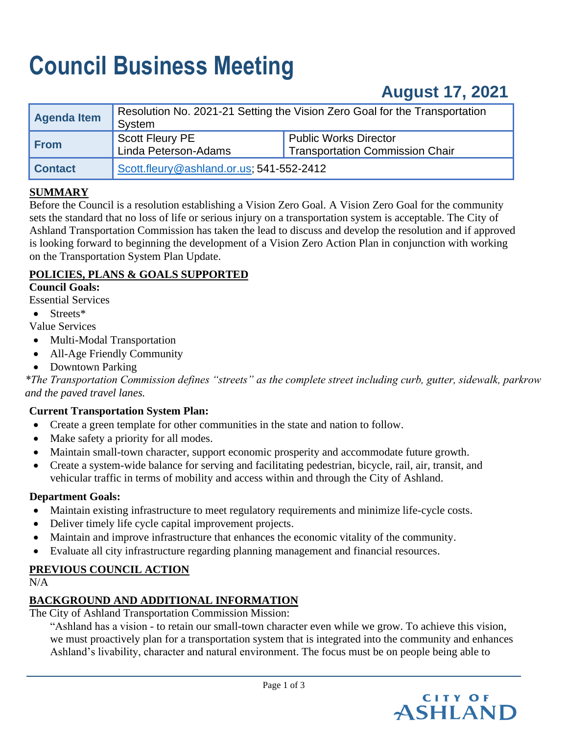# **Council Business Meeting**

# **August 17, 2021**

| <b>Agenda Item</b> | Resolution No. 2021-21 Setting the Vision Zero Goal for the Transportation<br>System |                                                                        |  |
|--------------------|--------------------------------------------------------------------------------------|------------------------------------------------------------------------|--|
| <b>From</b>        | <b>Scott Fleury PE</b><br>Linda Peterson-Adams                                       | <b>Public Works Director</b><br><b>Transportation Commission Chair</b> |  |
| <b>Contact</b>     | Scott.fleury@ashland.or.us; 541-552-2412                                             |                                                                        |  |

#### **SUMMARY**

Before the Council is a resolution establishing a Vision Zero Goal. A Vision Zero Goal for the community sets the standard that no loss of life or serious injury on a transportation system is acceptable. The City of Ashland Transportation Commission has taken the lead to discuss and develop the resolution and if approved is looking forward to beginning the development of a Vision Zero Action Plan in conjunction with working on the Transportation System Plan Update.

## **POLICIES, PLANS & GOALS SUPPORTED**

#### **Council Goals:**

Essential Services

• Streets\*

Value Services

- Multi-Modal Transportation
- All-Age Friendly Community
- Downtown Parking

*\*The Transportation Commission defines "streets" as the complete street including curb, gutter, sidewalk, parkrow and the paved travel lanes.* 

#### **Current Transportation System Plan:**

- Create a green template for other communities in the state and nation to follow.
- Make safety a priority for all modes.
- Maintain small-town character, support economic prosperity and accommodate future growth.
- Create a system-wide balance for serving and facilitating pedestrian, bicycle, rail, air, transit, and vehicular traffic in terms of mobility and access within and through the City of Ashland.

#### **Department Goals:**

- Maintain existing infrastructure to meet regulatory requirements and minimize life-cycle costs.
- Deliver timely life cycle capital improvement projects.
- Maintain and improve infrastructure that enhances the economic vitality of the community.
- Evaluate all city infrastructure regarding planning management and financial resources.

#### **PREVIOUS COUNCIL ACTION**

 $N/A$ 

#### **BACKGROUND AND ADDITIONAL INFORMATION**

The City of Ashland Transportation Commission Mission:

"Ashland has a vision - to retain our small-town character even while we grow. To achieve this vision, we must proactively plan for a transportation system that is integrated into the community and enhances Ashland's livability, character and natural environment. The focus must be on people being able to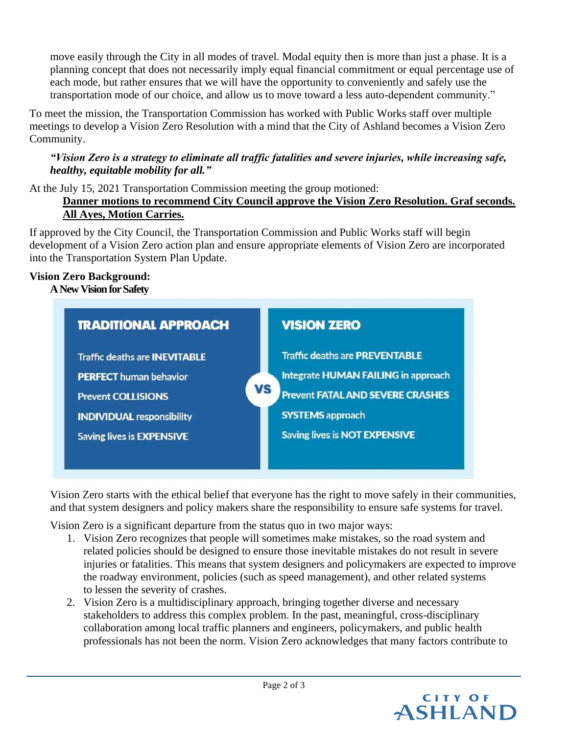move easily through the City in all modes of travel. Modal equity then is more than just a phase. It is a planning concept that does not necessarily imply equal financial commitment or equal percentage use of each mode, but rather ensures that we will have the opportunity to conveniently and safely use the transportation mode of our choice, and allow us to move toward a less auto-dependent community."

To meet the mission, the Transportation Commission has worked with Public Works staff over multiple meetings to develop a Vision Zero Resolution with a mind that the City of Ashland becomes a Vision Zero Community.

#### *"Vision Zero is a strategy to eliminate all traffic fatalities and severe injuries, while increasing safe, healthy, equitable mobility for all."*

At the July 15, 2021 Transportation Commission meeting the group motioned: **Danner motions to recommend City Council approve the Vision Zero Resolution. Graf seconds. All Ayes, Motion Carries.**

If approved by the City Council, the Transportation Commission and Public Works staff will begin development of a Vision Zero action plan and ensure appropriate elements of Vision Zero are incorporated into the Transportation System Plan Update.

#### **Vision Zero Background:**

**A New Vision for Safety**



Vision Zero starts with the ethical belief that everyone has the right to move safely in their communities, and that system designers and policy makers share the responsibility to ensure safe systems for travel.

Vision Zero is a significant departure from the status quo in two major ways:

- 1. Vision Zero recognizes that people will sometimes make mistakes, so the road system and related policies should be designed to ensure those inevitable mistakes do not result in severe injuries or fatalities. This means that system designers and policymakers are expected to improve the roadway environment, policies (such as speed management), and other related systems to lessen the severity of crashes.
- 2. Vision Zero is a multidisciplinary approach, bringing together diverse and necessary stakeholders to address this complex problem. In the past, meaningful, cross-disciplinary collaboration among local traffic planners and engineers, policymakers, and public health professionals has not been the norm. Vision Zero acknowledges that many factors contribute to

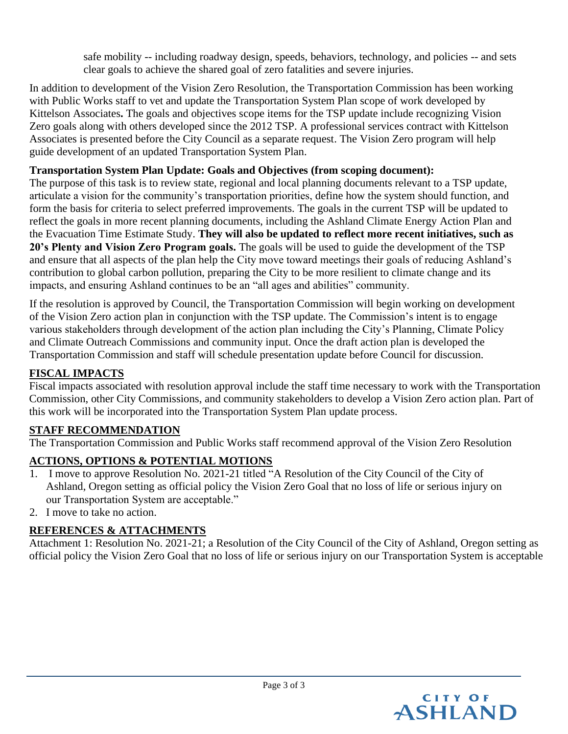safe mobility -- including roadway design, speeds, behaviors, technology, and policies -- and sets clear goals to achieve the shared goal of zero fatalities and severe injuries.

In addition to development of the Vision Zero Resolution, the Transportation Commission has been working with Public Works staff to vet and update the Transportation System Plan scope of work developed by Kittelson Associates**.** The goals and objectives scope items for the TSP update include recognizing Vision Zero goals along with others developed since the 2012 TSP. A professional services contract with Kittelson Associates is presented before the City Council as a separate request. The Vision Zero program will help guide development of an updated Transportation System Plan.

## **Transportation System Plan Update: Goals and Objectives (from scoping document):**

The purpose of this task is to review state, regional and local planning documents relevant to a TSP update, articulate a vision for the community's transportation priorities, define how the system should function, and form the basis for criteria to select preferred improvements. The goals in the current TSP will be updated to reflect the goals in more recent planning documents, including the Ashland Climate Energy Action Plan and the Evacuation Time Estimate Study. **They will also be updated to reflect more recent initiatives, such as 20's Plenty and Vision Zero Program goals.** The goals will be used to guide the development of the TSP and ensure that all aspects of the plan help the City move toward meetings their goals of reducing Ashland's contribution to global carbon pollution, preparing the City to be more resilient to climate change and its impacts, and ensuring Ashland continues to be an "all ages and abilities" community.

If the resolution is approved by Council, the Transportation Commission will begin working on development of the Vision Zero action plan in conjunction with the TSP update. The Commission's intent is to engage various stakeholders through development of the action plan including the City's Planning, Climate Policy and Climate Outreach Commissions and community input. Once the draft action plan is developed the Transportation Commission and staff will schedule presentation update before Council for discussion.

#### **FISCAL IMPACTS**

Fiscal impacts associated with resolution approval include the staff time necessary to work with the Transportation Commission, other City Commissions, and community stakeholders to develop a Vision Zero action plan. Part of this work will be incorporated into the Transportation System Plan update process.

#### **STAFF RECOMMENDATION**

The Transportation Commission and Public Works staff recommend approval of the Vision Zero Resolution

#### **ACTIONS, OPTIONS & POTENTIAL MOTIONS**

- 1. I move to approve Resolution No. 2021-21 titled "A Resolution of the City Council of the City of Ashland, Oregon setting as official policy the Vision Zero Goal that no loss of life or serious injury on our Transportation System are acceptable."
- 2. I move to take no action.

#### **REFERENCES & ATTACHMENTS**

Attachment 1: Resolution No. 2021-21; a Resolution of the City Council of the City of Ashland, Oregon setting as official policy the Vision Zero Goal that no loss of life or serious injury on our Transportation System is acceptable

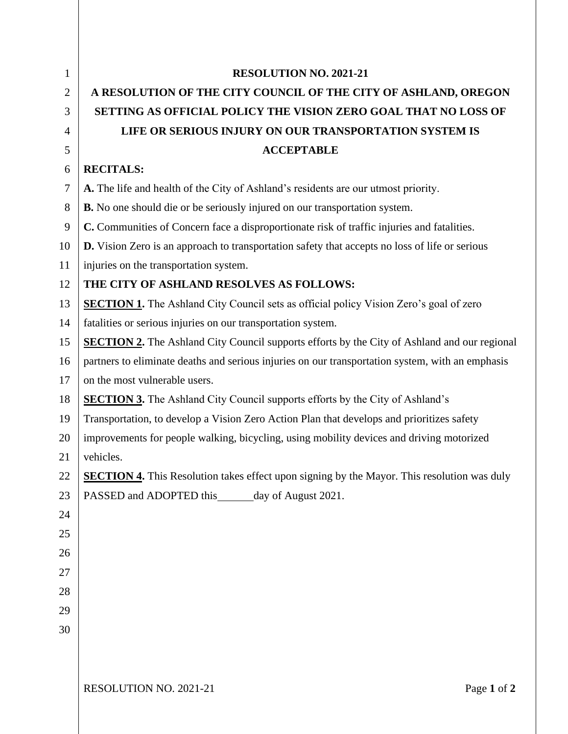| 1              | <b>RESOLUTION NO. 2021-21</b>                                                                         |  |  |
|----------------|-------------------------------------------------------------------------------------------------------|--|--|
| $\overline{2}$ | A RESOLUTION OF THE CITY COUNCIL OF THE CITY OF ASHLAND, OREGON                                       |  |  |
| 3              | SETTING AS OFFICIAL POLICY THE VISION ZERO GOAL THAT NO LOSS OF                                       |  |  |
| $\overline{4}$ | LIFE OR SERIOUS INJURY ON OUR TRANSPORTATION SYSTEM IS                                                |  |  |
| 5              | <b>ACCEPTABLE</b>                                                                                     |  |  |
| 6              | <b>RECITALS:</b>                                                                                      |  |  |
| $\tau$         | A. The life and health of the City of Ashland's residents are our utmost priority.                    |  |  |
| 8              | <b>B.</b> No one should die or be seriously injured on our transportation system.                     |  |  |
| 9              | C. Communities of Concern face a disproportionate risk of traffic injuries and fatalities.            |  |  |
| 10             | <b>D.</b> Vision Zero is an approach to transportation safety that accepts no loss of life or serious |  |  |
| 11             | injuries on the transportation system.                                                                |  |  |
| 12             | THE CITY OF ASHLAND RESOLVES AS FOLLOWS:                                                              |  |  |
| 13             | <b>SECTION 1.</b> The Ashland City Council sets as official policy Vision Zero's goal of zero         |  |  |
| 14             | fatalities or serious injuries on our transportation system.                                          |  |  |
| 15             | <b>SECTION 2.</b> The Ashland City Council supports efforts by the City of Ashland and our regional   |  |  |
| 16             | partners to eliminate deaths and serious injuries on our transportation system, with an emphasis      |  |  |
| 17             | on the most vulnerable users.                                                                         |  |  |
| 18             | <b>SECTION 3.</b> The Ashland City Council supports efforts by the City of Ashland's                  |  |  |
| 19             | Transportation, to develop a Vision Zero Action Plan that develops and prioritizes safety             |  |  |
| 20             | improvements for people walking, bicycling, using mobility devices and driving motorized              |  |  |
| 21             | vehicles.                                                                                             |  |  |
| 22             | <b>SECTION 4.</b> This Resolution takes effect upon signing by the Mayor. This resolution was duly    |  |  |
| 23             | PASSED and ADOPTED this day of August 2021.                                                           |  |  |
| 24             |                                                                                                       |  |  |
| 25             |                                                                                                       |  |  |
| 26             |                                                                                                       |  |  |
| 27             |                                                                                                       |  |  |
| 28             |                                                                                                       |  |  |
| 29             |                                                                                                       |  |  |
| 30             |                                                                                                       |  |  |
|                |                                                                                                       |  |  |
|                |                                                                                                       |  |  |
|                | RESOLUTION NO. 2021-21<br>Page 1 of 2                                                                 |  |  |